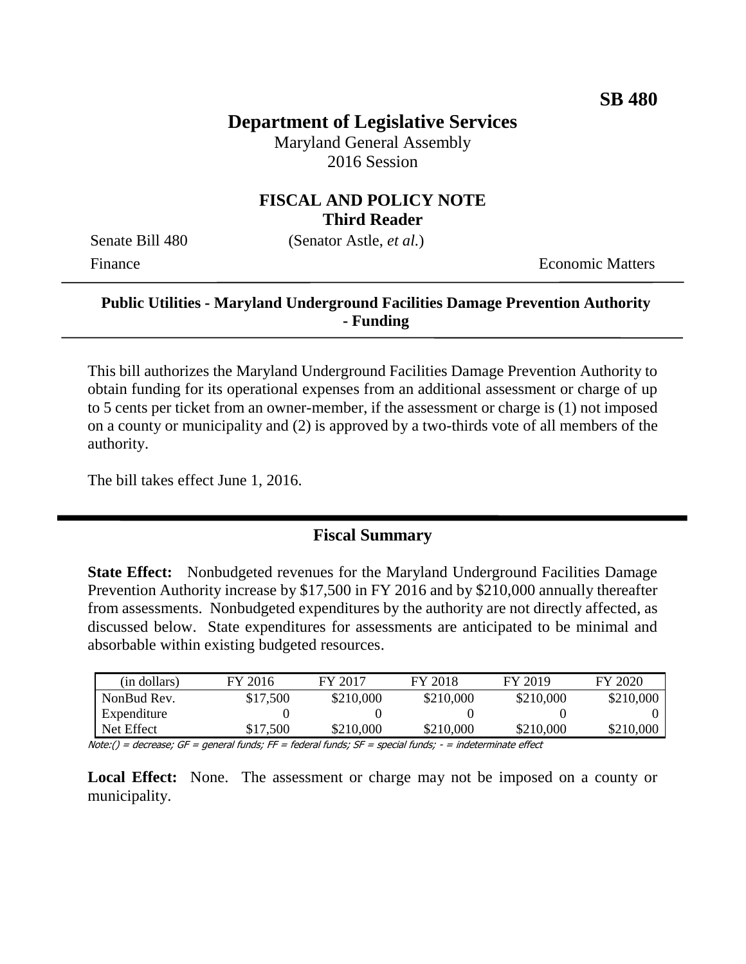# **Department of Legislative Services**

Maryland General Assembly 2016 Session

## **FISCAL AND POLICY NOTE Third Reader**

Senate Bill 480 (Senator Astle, *et al.*)

Finance **Exercífical Economic Matters** 

## **Public Utilities - Maryland Underground Facilities Damage Prevention Authority - Funding**

This bill authorizes the Maryland Underground Facilities Damage Prevention Authority to obtain funding for its operational expenses from an additional assessment or charge of up to 5 cents per ticket from an owner-member, if the assessment or charge is (1) not imposed on a county or municipality and (2) is approved by a two-thirds vote of all members of the authority.

The bill takes effect June 1, 2016.

## **Fiscal Summary**

**State Effect:** Nonbudgeted revenues for the Maryland Underground Facilities Damage Prevention Authority increase by \$17,500 in FY 2016 and by \$210,000 annually thereafter from assessments. Nonbudgeted expenditures by the authority are not directly affected, as discussed below. State expenditures for assessments are anticipated to be minimal and absorbable within existing budgeted resources.

| (in dollars) | FY 2016  | FY 2017   | FY 2018   | FY 2019   | FY 2020   |
|--------------|----------|-----------|-----------|-----------|-----------|
| NonBud Rev.  | \$17,500 | \$210,000 | \$210,000 | \$210,000 | \$210,000 |
| Expenditure  |          |           |           |           |           |
| Net Effect   | \$17,500 | \$210,000 | \$210,000 | \$210,000 | \$210,000 |

Note:() = decrease; GF = general funds; FF = federal funds; SF = special funds; - = indeterminate effect

Local Effect: None. The assessment or charge may not be imposed on a county or municipality.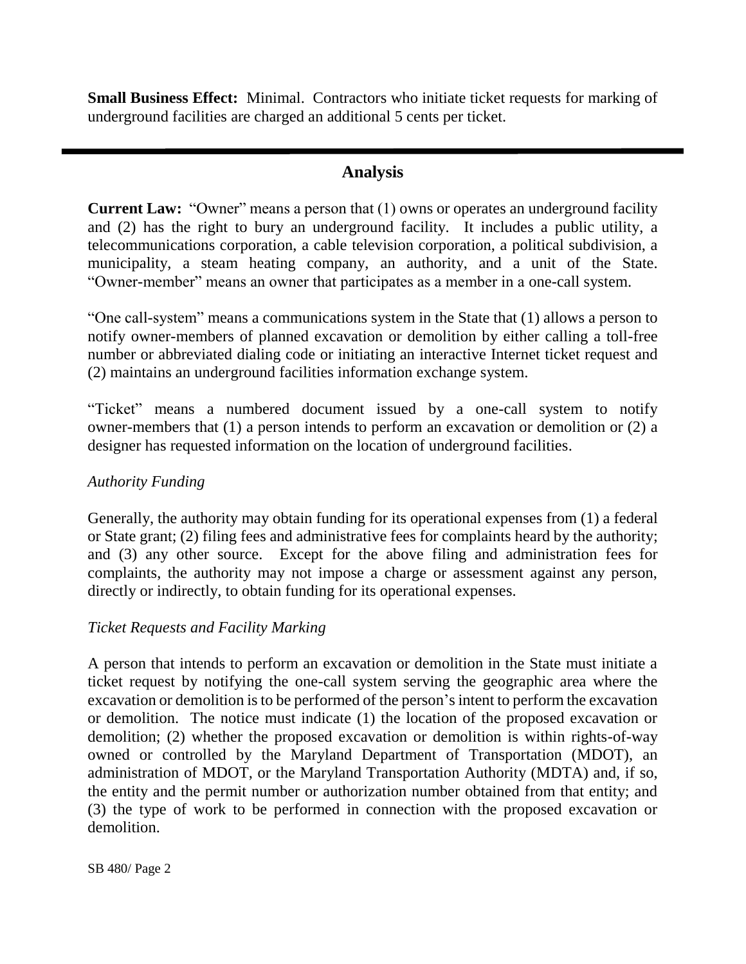**Small Business Effect:** Minimal. Contractors who initiate ticket requests for marking of underground facilities are charged an additional 5 cents per ticket.

## **Analysis**

**Current Law:** "Owner" means a person that (1) owns or operates an underground facility and (2) has the right to bury an underground facility. It includes a public utility, a telecommunications corporation, a cable television corporation, a political subdivision, a municipality, a steam heating company, an authority, and a unit of the State. "Owner-member" means an owner that participates as a member in a one-call system.

"One call-system" means a communications system in the State that (1) allows a person to notify owner-members of planned excavation or demolition by either calling a toll-free number or abbreviated dialing code or initiating an interactive Internet ticket request and (2) maintains an underground facilities information exchange system.

"Ticket" means a numbered document issued by a one-call system to notify owner-members that (1) a person intends to perform an excavation or demolition or (2) a designer has requested information on the location of underground facilities.

#### *Authority Funding*

Generally, the authority may obtain funding for its operational expenses from (1) a federal or State grant; (2) filing fees and administrative fees for complaints heard by the authority; and (3) any other source. Except for the above filing and administration fees for complaints, the authority may not impose a charge or assessment against any person, directly or indirectly, to obtain funding for its operational expenses.

#### *Ticket Requests and Facility Marking*

A person that intends to perform an excavation or demolition in the State must initiate a ticket request by notifying the one-call system serving the geographic area where the excavation or demolition is to be performed of the person's intent to perform the excavation or demolition. The notice must indicate (1) the location of the proposed excavation or demolition; (2) whether the proposed excavation or demolition is within rights-of-way owned or controlled by the Maryland Department of Transportation (MDOT), an administration of MDOT, or the Maryland Transportation Authority (MDTA) and, if so, the entity and the permit number or authorization number obtained from that entity; and (3) the type of work to be performed in connection with the proposed excavation or demolition.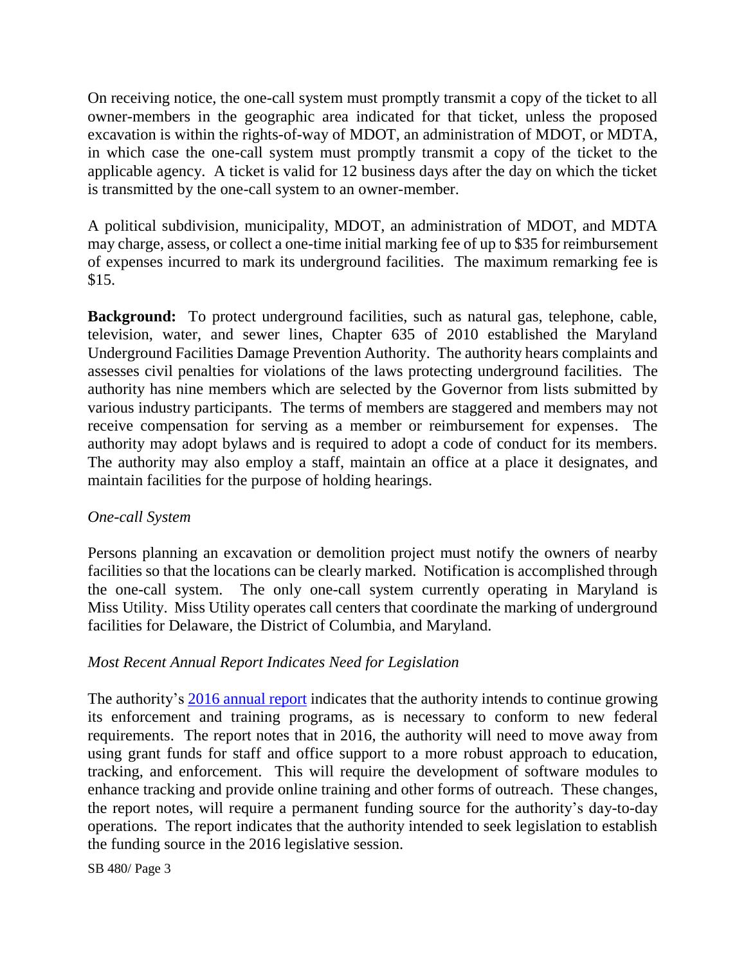On receiving notice, the one-call system must promptly transmit a copy of the ticket to all owner-members in the geographic area indicated for that ticket, unless the proposed excavation is within the rights-of-way of MDOT, an administration of MDOT, or MDTA, in which case the one-call system must promptly transmit a copy of the ticket to the applicable agency. A ticket is valid for 12 business days after the day on which the ticket is transmitted by the one-call system to an owner-member.

A political subdivision, municipality, MDOT, an administration of MDOT, and MDTA may charge, assess, or collect a one-time initial marking fee of up to \$35 for reimbursement of expenses incurred to mark its underground facilities. The maximum remarking fee is \$15.

**Background:** To protect underground facilities, such as natural gas, telephone, cable, television, water, and sewer lines, Chapter 635 of 2010 established the Maryland Underground Facilities Damage Prevention Authority. The authority hears complaints and assesses civil penalties for violations of the laws protecting underground facilities. The authority has nine members which are selected by the Governor from lists submitted by various industry participants. The terms of members are staggered and members may not receive compensation for serving as a member or reimbursement for expenses. The authority may adopt bylaws and is required to adopt a code of conduct for its members. The authority may also employ a staff, maintain an office at a place it designates, and maintain facilities for the purpose of holding hearings.

#### *One-call System*

Persons planning an excavation or demolition project must notify the owners of nearby facilities so that the locations can be clearly marked. Notification is accomplished through the one-call system. The only one-call system currently operating in Maryland is Miss Utility. Miss Utility operates call centers that coordinate the marking of underground facilities for Delaware, the District of Columbia, and Maryland.

## *Most Recent Annual Report Indicates Need for Legislation*

The authority's [2016 annual report](http://dlslibrary.state.md.us/publications/MUFDPA/PU12-114_2016.pdf) indicates that the authority intends to continue growing its enforcement and training programs, as is necessary to conform to new federal requirements. The report notes that in 2016, the authority will need to move away from using grant funds for staff and office support to a more robust approach to education, tracking, and enforcement. This will require the development of software modules to enhance tracking and provide online training and other forms of outreach. These changes, the report notes, will require a permanent funding source for the authority's day-to-day operations. The report indicates that the authority intended to seek legislation to establish the funding source in the 2016 legislative session.